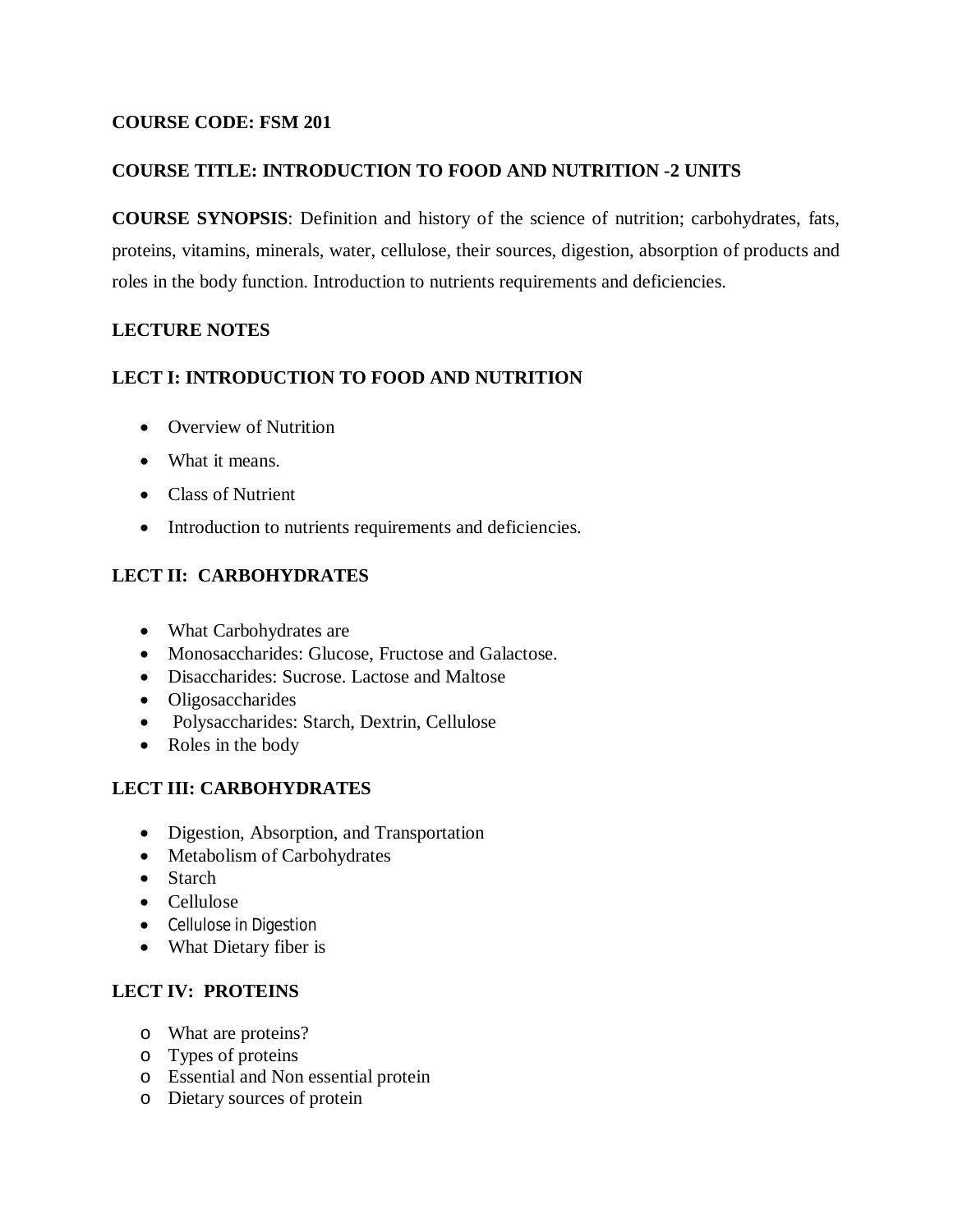### **COURSE CODE: FSM 201**

### **COURSE TITLE: INTRODUCTION TO FOOD AND NUTRITION -2 UNITS**

**COURSE SYNOPSIS**: Definition and history of the science of nutrition; carbohydrates, fats, proteins, vitamins, minerals, water, cellulose, their sources, digestion, absorption of products and roles in the body function. Introduction to nutrients requirements and deficiencies.

### **LECTURE NOTES**

### **LECT I: INTRODUCTION TO FOOD AND NUTRITION**

- Overview of Nutrition
- What it means.
- Class of Nutrient
- Introduction to nutrients requirements and deficiencies.

# **LECT II: CARBOHYDRATES**

- What Carbohydrates are
- Monosaccharides: Glucose, Fructose and Galactose.
- Disaccharides: Sucrose. Lactose and Maltose
- Oligosaccharides
- Polysaccharides: Starch, Dextrin, Cellulose
- Roles in the body

# **LECT III: CARBOHYDRATES**

- Digestion, Absorption, and Transportation
- Metabolism of Carbohydrates
- Starch
- Cellulose
- Cellulose in Digestion
- What Dietary fiber is

# **LECT IV: PROTEINS**

- o What are proteins?
- o Types of proteins
- o Essential and Non essential protein
- o Dietary sources of protein